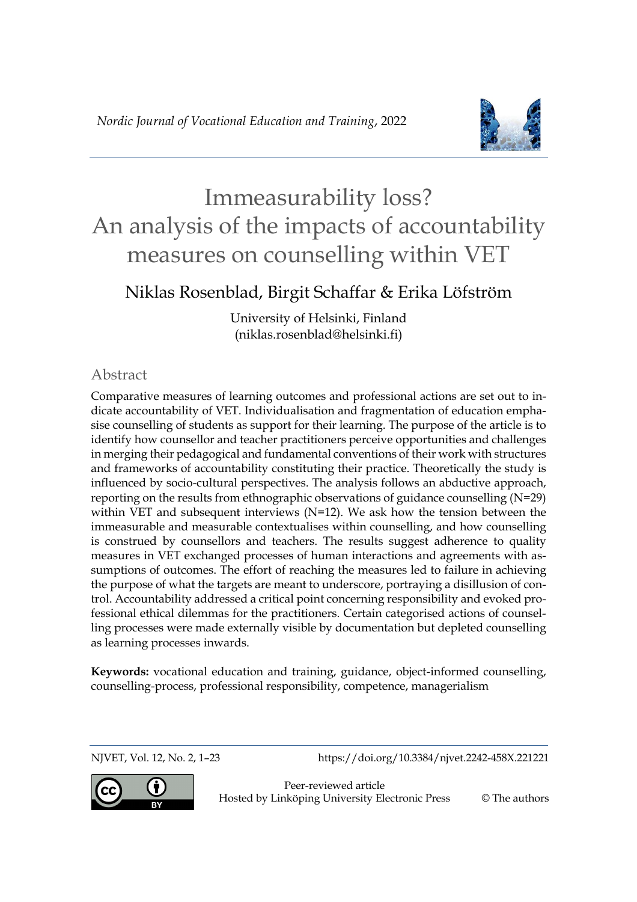

# Niklas Rosenblad, Birgit Schaffar & Erika Löfström

University of Helsinki, Finland (niklas.rosenblad@helsinki.fi)

# Abstract

Comparative measures of learning outcomes and professional actions are set out to indicate accountability of VET. Individualisation and fragmentation of education emphasise counselling of students as support for their learning. The purpose of the article is to identify how counsellor and teacher practitioners perceive opportunities and challenges in merging their pedagogical and fundamental conventions of their work with structures and frameworks of accountability constituting their practice. Theoretically the study is influenced by socio-cultural perspectives. The analysis follows an abductive approach, reporting on the results from ethnographic observations of guidance counselling (N=29) within VET and subsequent interviews (N=12). We ask how the tension between the immeasurable and measurable contextualises within counselling, and how counselling is construed by counsellors and teachers. The results suggest adherence to quality measures in VET exchanged processes of human interactions and agreements with assumptions of outcomes. The effort of reaching the measures led to failure in achieving the purpose of what the targets are meant to underscore, portraying a disillusion of control. Accountability addressed a critical point concerning responsibility and evoked professional ethical dilemmas for the practitioners. Certain categorised actions of counselling processes were made externally visible by documentation but depleted counselling as learning processes inwards.

**Keywords:** vocational education and training, guidance, object-informed counselling, counselling-process, professional responsibility, competence, managerialism

NJVET, Vol. 12, No. 2, 1–23 https://doi.org/10.3384/njvet.2242-458X.221221

Peer-reviewed article Hosted by Linköping University Electronic Press © The authors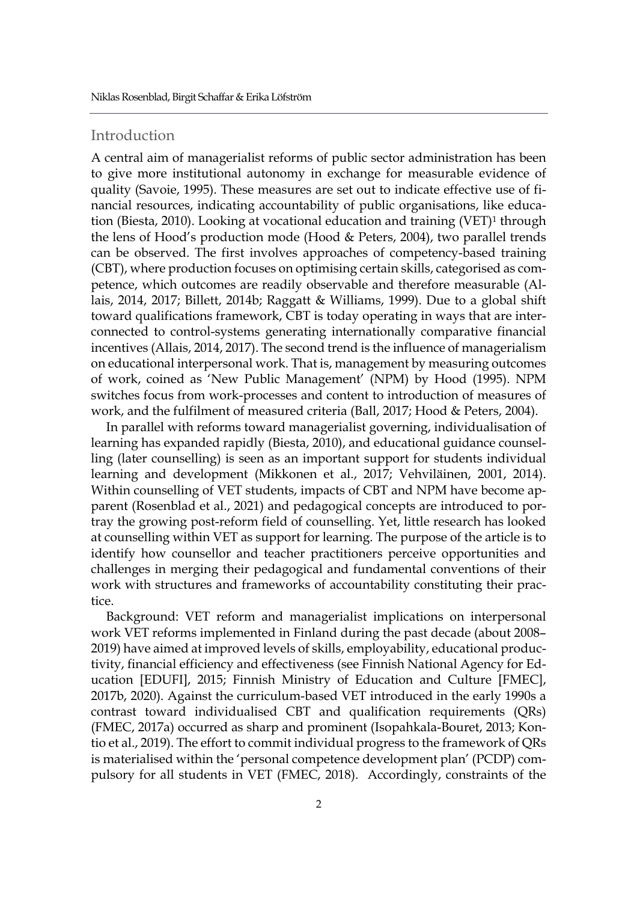# Introduction

A central aim of managerialist reforms of public sector administration has been to give more institutional autonomy in exchange for measurable evidence of quality (Savoie, 1995). These measures are set out to indicate effective use of financial resources, indicating accountability of public organisations, like education (Biesta, 2010). Looking at vocational education and training (VET)<sup>1</sup> through the lens of Hood's production mode (Hood & Peters, 2004), two parallel trends can be observed. The first involves approaches of competency-based training (CBT), where production focuses on optimising certain skills, categorised as competence, which outcomes are readily observable and therefore measurable (Allais, 2014, 2017; Billett, 2014b; Raggatt & Williams, 1999). Due to a global shift toward qualifications framework, CBT is today operating in ways that are interconnected to control-systems generating internationally comparative financial incentives (Allais, 2014, 2017). The second trend is the influence of managerialism on educational interpersonal work. That is, management by measuring outcomes of work, coined as 'New Public Management' (NPM) by Hood (1995). NPM switches focus from work-processes and content to introduction of measures of work, and the fulfilment of measured criteria (Ball, 2017; Hood & Peters, 2004).

In parallel with reforms toward managerialist governing, individualisation of learning has expanded rapidly (Biesta, 2010), and educational guidance counselling (later counselling) is seen as an important support for students individual learning and development (Mikkonen et al., 2017; Vehviläinen, 2001, 2014). Within counselling of VET students, impacts of CBT and NPM have become apparent (Rosenblad et al., 2021) and pedagogical concepts are introduced to portray the growing post-reform field of counselling. Yet, little research has looked at counselling within VET as support for learning. The purpose of the article is to identify how counsellor and teacher practitioners perceive opportunities and challenges in merging their pedagogical and fundamental conventions of their work with structures and frameworks of accountability constituting their practice.

Background: VET reform and managerialist implications on interpersonal work VET reforms implemented in Finland during the past decade (about 2008– 2019) have aimed at improved levels of skills, employability, educational productivity, financial efficiency and effectiveness (see Finnish National Agency for Education [EDUFI], 2015; Finnish Ministry of Education and Culture [FMEC], 2017b, 2020). Against the curriculum-based VET introduced in the early 1990s a contrast toward individualised CBT and qualification requirements (QRs) (FMEC, 2017a) occurred as sharp and prominent (Isopahkala-Bouret, 2013; Kontio et al., 2019). The effort to commit individual progress to the framework of QRs is materialised within the 'personal competence development plan' (PCDP) compulsory for all students in VET (FMEC, 2018). Accordingly, constraints of the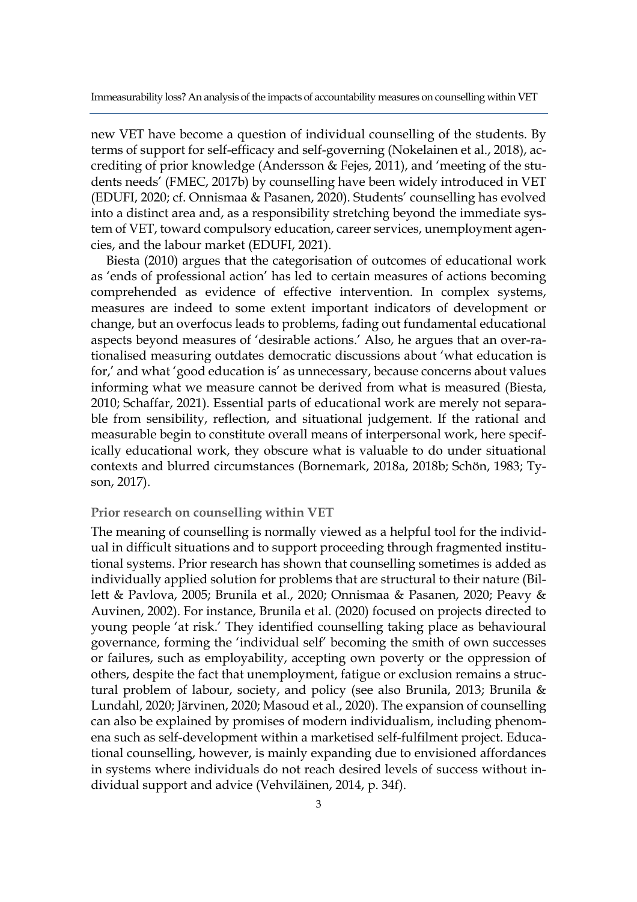new VET have become a question of individual counselling of the students. By terms of support for self-efficacy and self-governing (Nokelainen et al., 2018), accrediting of prior knowledge (Andersson & Fejes, 2011), and 'meeting of the students needs' (FMEC, 2017b) by counselling have been widely introduced in VET (EDUFI, 2020; cf. Onnismaa & Pasanen, 2020). Students' counselling has evolved into a distinct area and, as a responsibility stretching beyond the immediate system of VET, toward compulsory education, career services, unemployment agencies, and the labour market (EDUFI, 2021).

Biesta (2010) argues that the categorisation of outcomes of educational work as 'ends of professional action' has led to certain measures of actions becoming comprehended as evidence of effective intervention. In complex systems, measures are indeed to some extent important indicators of development or change, but an overfocus leads to problems, fading out fundamental educational aspects beyond measures of 'desirable actions.' Also, he argues that an over-rationalised measuring outdates democratic discussions about 'what education is for,' and what 'good education is' as unnecessary, because concerns about values informing what we measure cannot be derived from what is measured (Biesta, 2010; Schaffar, 2021). Essential parts of educational work are merely not separable from sensibility, reflection, and situational judgement. If the rational and measurable begin to constitute overall means of interpersonal work, here specifically educational work, they obscure what is valuable to do under situational contexts and blurred circumstances (Bornemark, 2018a, 2018b; Schön, 1983; Tyson, 2017).

#### **Prior research on counselling within VET**

The meaning of counselling is normally viewed as a helpful tool for the individual in difficult situations and to support proceeding through fragmented institutional systems. Prior research has shown that counselling sometimes is added as individually applied solution for problems that are structural to their nature (Billett & Pavlova, 2005; Brunila et al., 2020; Onnismaa & Pasanen, 2020; Peavy & Auvinen, 2002). For instance, Brunila et al. (2020) focused on projects directed to young people 'at risk.' They identified counselling taking place as behavioural governance, forming the 'individual self' becoming the smith of own successes or failures, such as employability, accepting own poverty or the oppression of others, despite the fact that unemployment, fatigue or exclusion remains a structural problem of labour, society, and policy (see also Brunila, 2013; Brunila & Lundahl, 2020; Järvinen, 2020; Masoud et al., 2020). The expansion of counselling can also be explained by promises of modern individualism, including phenomena such as self-development within a marketised self-fulfilment project. Educational counselling, however, is mainly expanding due to envisioned affordances in systems where individuals do not reach desired levels of success without individual support and advice (Vehviläinen, 2014, p. 34f).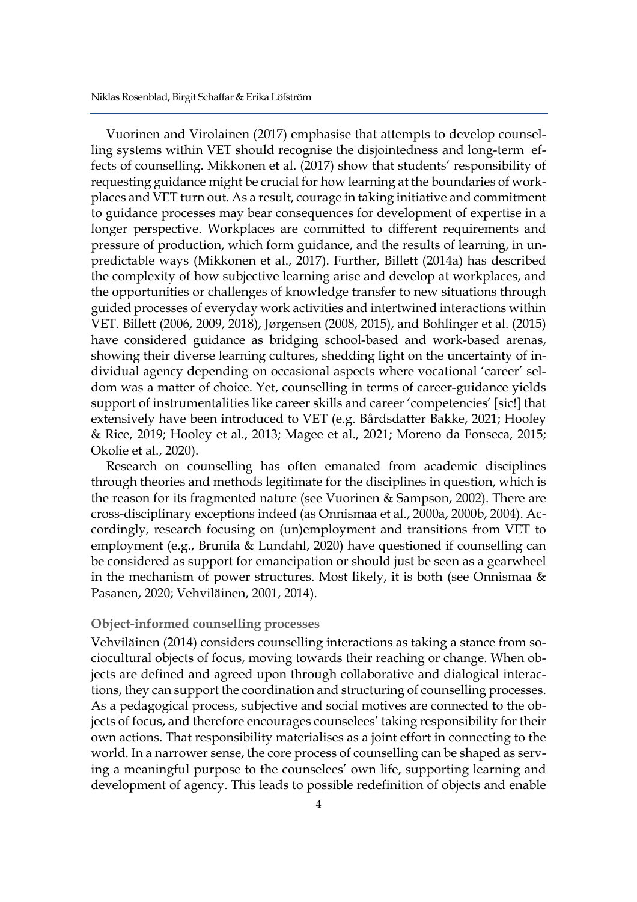Vuorinen and Virolainen (2017) emphasise that attempts to develop counselling systems within VET should recognise the disjointedness and long-term effects of counselling. Mikkonen et al. (2017) show that students' responsibility of requesting guidance might be crucial for how learning at the boundaries of workplaces and VET turn out. As a result, courage in taking initiative and commitment to guidance processes may bear consequences for development of expertise in a longer perspective. Workplaces are committed to different requirements and pressure of production, which form guidance, and the results of learning, in unpredictable ways (Mikkonen et al., 2017). Further, Billett (2014a) has described the complexity of how subjective learning arise and develop at workplaces, and the opportunities or challenges of knowledge transfer to new situations through guided processes of everyday work activities and intertwined interactions within VET. Billett (2006, 2009, 2018), Jørgensen (2008, 2015), and Bohlinger et al. (2015) have considered guidance as bridging school-based and work-based arenas, showing their diverse learning cultures, shedding light on the uncertainty of individual agency depending on occasional aspects where vocational 'career' seldom was a matter of choice. Yet, counselling in terms of career-guidance yields support of instrumentalities like career skills and career 'competencies' [sic!] that extensively have been introduced to VET (e.g. Bårdsdatter Bakke, 2021; Hooley & Rice, 2019; Hooley et al., 2013; Magee et al., 2021; Moreno da Fonseca, 2015; Okolie et al., 2020).

Research on counselling has often emanated from academic disciplines through theories and methods legitimate for the disciplines in question, which is the reason for its fragmented nature (see Vuorinen & Sampson, 2002). There are cross-disciplinary exceptions indeed (as Onnismaa et al., 2000a, 2000b, 2004). Accordingly, research focusing on (un)employment and transitions from VET to employment (e.g., Brunila & Lundahl, 2020) have questioned if counselling can be considered as support for emancipation or should just be seen as a gearwheel in the mechanism of power structures. Most likely, it is both (see Onnismaa & Pasanen, 2020; Vehviläinen, 2001, 2014).

## **Object-informed counselling processes**

Vehviläinen (2014) considers counselling interactions as taking a stance from sociocultural objects of focus, moving towards their reaching or change. When objects are defined and agreed upon through collaborative and dialogical interactions, they can support the coordination and structuring of counselling processes. As a pedagogical process, subjective and social motives are connected to the objects of focus, and therefore encourages counselees' taking responsibility for their own actions. That responsibility materialises as a joint effort in connecting to the world. In a narrower sense, the core process of counselling can be shaped as serving a meaningful purpose to the counselees' own life, supporting learning and development of agency. This leads to possible redefinition of objects and enable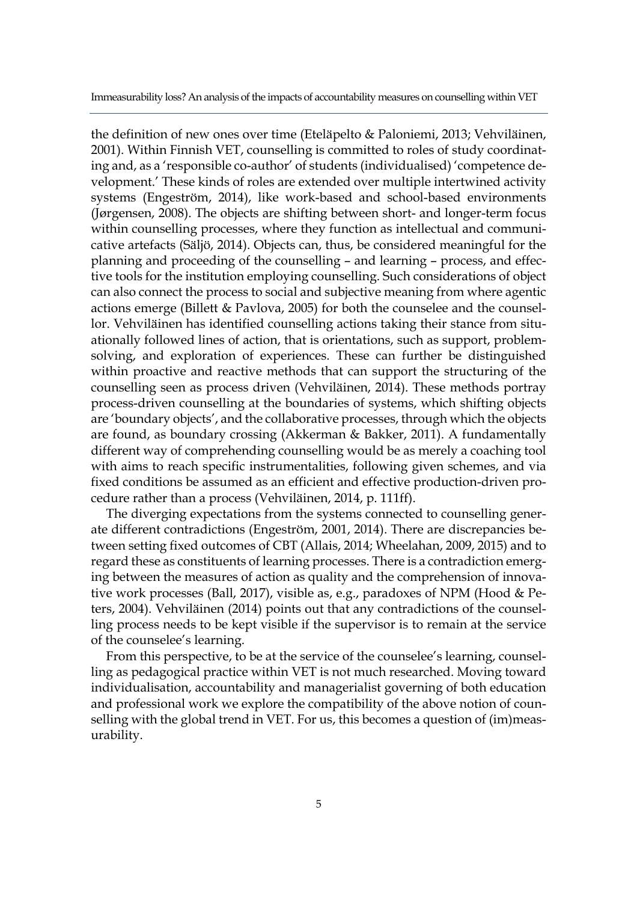the definition of new ones over time (Eteläpelto & Paloniemi, 2013; Vehviläinen, 2001). Within Finnish VET, counselling is committed to roles of study coordinating and, as a 'responsible co-author' of students (individualised) 'competence development.' These kinds of roles are extended over multiple intertwined activity systems (Engeström, 2014), like work-based and school-based environments (Jørgensen, 2008). The objects are shifting between short- and longer-term focus within counselling processes, where they function as intellectual and communicative artefacts (Säljö, 2014). Objects can, thus, be considered meaningful for the planning and proceeding of the counselling – and learning – process, and effective tools for the institution employing counselling. Such considerations of object can also connect the process to social and subjective meaning from where agentic actions emerge (Billett & Pavlova, 2005) for both the counselee and the counsellor. Vehviläinen has identified counselling actions taking their stance from situationally followed lines of action, that is orientations, such as support, problemsolving, and exploration of experiences. These can further be distinguished within proactive and reactive methods that can support the structuring of the counselling seen as process driven (Vehviläinen, 2014). These methods portray process-driven counselling at the boundaries of systems, which shifting objects are 'boundary objects', and the collaborative processes, through which the objects are found, as boundary crossing (Akkerman & Bakker, 2011). A fundamentally different way of comprehending counselling would be as merely a coaching tool with aims to reach specific instrumentalities, following given schemes, and via fixed conditions be assumed as an efficient and effective production-driven procedure rather than a process (Vehviläinen, 2014, p. 111ff).

The diverging expectations from the systems connected to counselling generate different contradictions (Engeström, 2001, 2014). There are discrepancies between setting fixed outcomes of CBT (Allais, 2014; Wheelahan, 2009, 2015) and to regard these as constituents of learning processes. There is a contradiction emerging between the measures of action as quality and the comprehension of innovative work processes (Ball, 2017), visible as, e.g., paradoxes of NPM (Hood & Peters, 2004). Vehviläinen (2014) points out that any contradictions of the counselling process needs to be kept visible if the supervisor is to remain at the service of the counselee's learning.

From this perspective, to be at the service of the counselee's learning, counselling as pedagogical practice within VET is not much researched. Moving toward individualisation, accountability and managerialist governing of both education and professional work we explore the compatibility of the above notion of counselling with the global trend in VET. For us, this becomes a question of (im)measurability.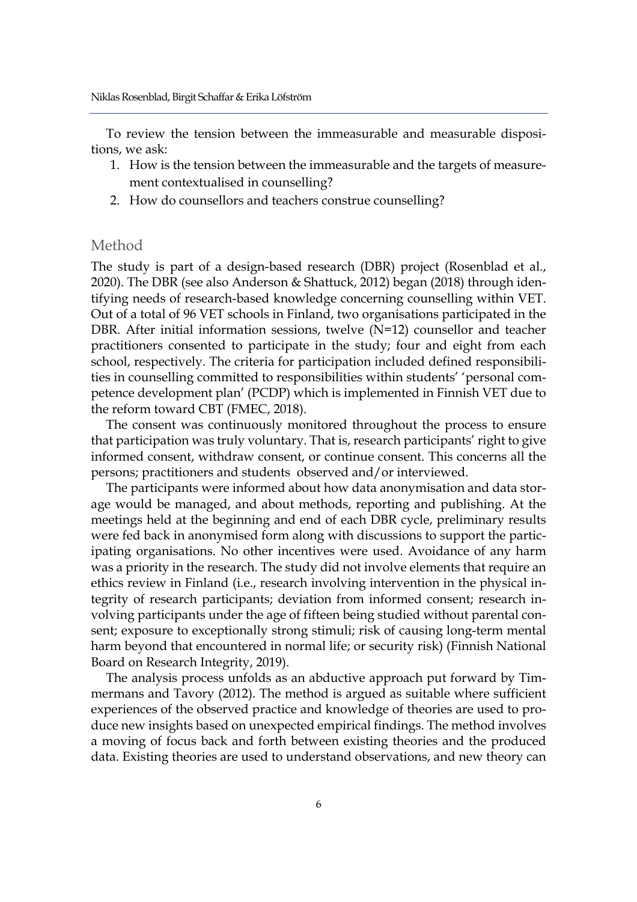To review the tension between the immeasurable and measurable dispositions, we ask:

- 1. How is the tension between the immeasurable and the targets of measurement contextualised in counselling?
- 2. How do counsellors and teachers construe counselling?

# Method

The study is part of a design-based research (DBR) project (Rosenblad et al., 2020). The DBR (see also Anderson & Shattuck, 2012) began (2018) through identifying needs of research-based knowledge concerning counselling within VET. Out of a total of 96 VET schools in Finland, two organisations participated in the DBR. After initial information sessions, twelve (N=12) counsellor and teacher practitioners consented to participate in the study; four and eight from each school, respectively. The criteria for participation included defined responsibilities in counselling committed to responsibilities within students' 'personal competence development plan' (PCDP) which is implemented in Finnish VET due to the reform toward CBT (FMEC, 2018).

The consent was continuously monitored throughout the process to ensure that participation was truly voluntary. That is, research participants' right to give informed consent, withdraw consent, or continue consent. This concerns all the persons; practitioners and students observed and/or interviewed.

The participants were informed about how data anonymisation and data storage would be managed, and about methods, reporting and publishing. At the meetings held at the beginning and end of each DBR cycle, preliminary results were fed back in anonymised form along with discussions to support the participating organisations. No other incentives were used. Avoidance of any harm was a priority in the research. The study did not involve elements that require an ethics review in Finland (i.e., research involving intervention in the physical integrity of research participants; deviation from informed consent; research involving participants under the age of fifteen being studied without parental consent; exposure to exceptionally strong stimuli; risk of causing long-term mental harm beyond that encountered in normal life; or security risk) (Finnish National Board on Research Integrity, 2019).

The analysis process unfolds as an abductive approach put forward by Timmermans and Tavory (2012). The method is argued as suitable where sufficient experiences of the observed practice and knowledge of theories are used to produce new insights based on unexpected empirical findings. The method involves a moving of focus back and forth between existing theories and the produced data. Existing theories are used to understand observations, and new theory can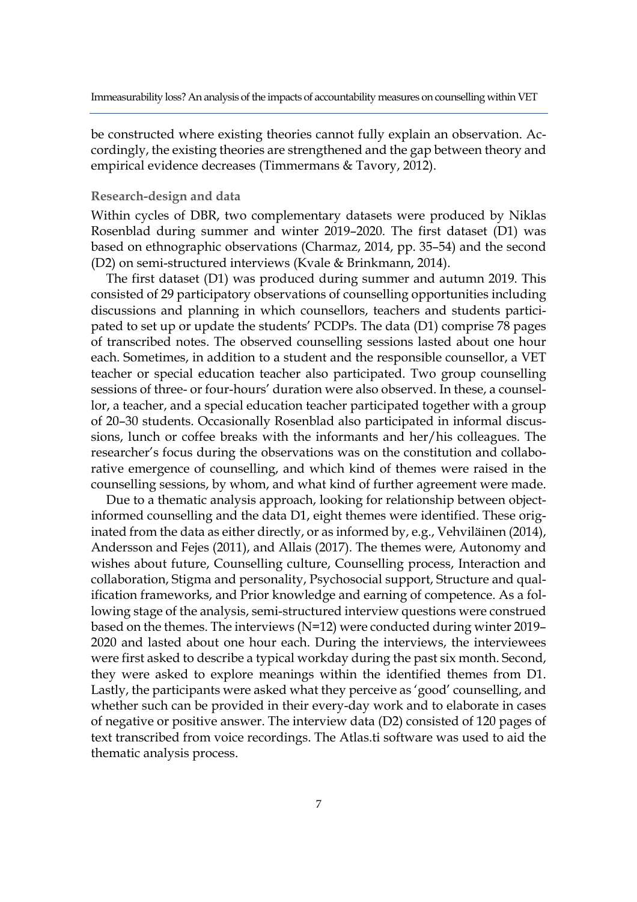be constructed where existing theories cannot fully explain an observation. Accordingly, the existing theories are strengthened and the gap between theory and empirical evidence decreases (Timmermans & Tavory, 2012).

#### **Research-design and data**

Within cycles of DBR, two complementary datasets were produced by Niklas Rosenblad during summer and winter 2019–2020. The first dataset (D1) was based on ethnographic observations (Charmaz, 2014, pp. 35–54) and the second (D2) on semi-structured interviews (Kvale & Brinkmann, 2014).

The first dataset (D1) was produced during summer and autumn 2019. This consisted of 29 participatory observations of counselling opportunities including discussions and planning in which counsellors, teachers and students participated to set up or update the students' PCDPs. The data (D1) comprise 78 pages of transcribed notes. The observed counselling sessions lasted about one hour each. Sometimes, in addition to a student and the responsible counsellor, a VET teacher or special education teacher also participated. Two group counselling sessions of three- or four-hours' duration were also observed. In these, a counsellor, a teacher, and a special education teacher participated together with a group of 20–30 students. Occasionally Rosenblad also participated in informal discussions, lunch or coffee breaks with the informants and her/his colleagues. The researcher's focus during the observations was on the constitution and collaborative emergence of counselling, and which kind of themes were raised in the counselling sessions, by whom, and what kind of further agreement were made.

Due to a thematic analysis approach, looking for relationship between objectinformed counselling and the data D1, eight themes were identified. These originated from the data as either directly, or as informed by, e.g., Vehviläinen (2014), Andersson and Fejes (2011), and Allais (2017). The themes were, Autonomy and wishes about future, Counselling culture, Counselling process, Interaction and collaboration, Stigma and personality, Psychosocial support, Structure and qualification frameworks, and Prior knowledge and earning of competence. As a following stage of the analysis, semi-structured interview questions were construed based on the themes. The interviews (N=12) were conducted during winter 2019– 2020 and lasted about one hour each. During the interviews, the interviewees were first asked to describe a typical workday during the past six month. Second, they were asked to explore meanings within the identified themes from D1. Lastly, the participants were asked what they perceive as 'good' counselling, and whether such can be provided in their every-day work and to elaborate in cases of negative or positive answer. The interview data (D2) consisted of 120 pages of text transcribed from voice recordings. The Atlas.ti software was used to aid the thematic analysis process.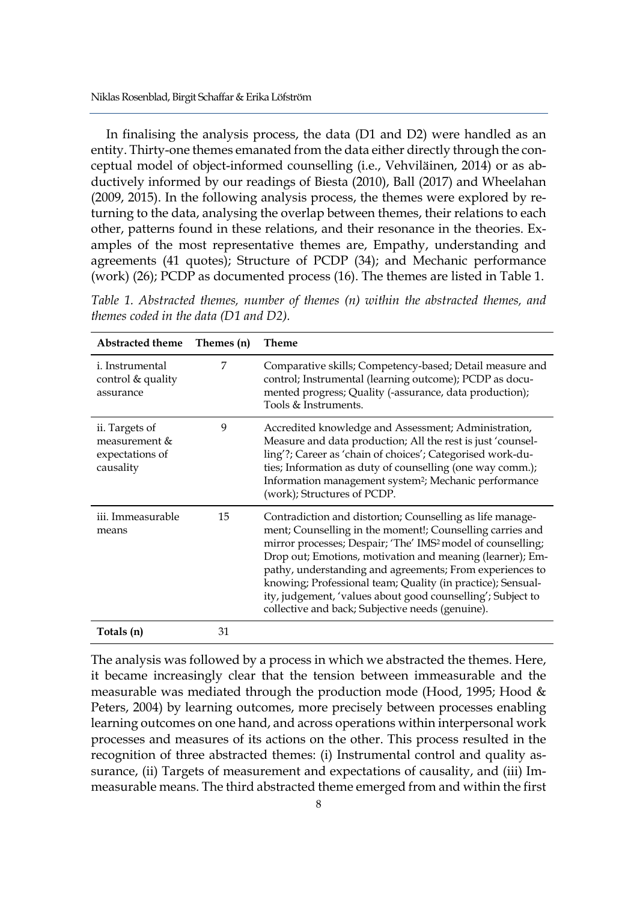In finalising the analysis process, the data (D1 and D2) were handled as an entity. Thirty-one themes emanated from the data either directly through the conceptual model of object-informed counselling (i.e., Vehviläinen, 2014) or as abductively informed by our readings of Biesta (2010), Ball (2017) and Wheelahan (2009, 2015). In the following analysis process, the themes were explored by returning to the data, analysing the overlap between themes, their relations to each other, patterns found in these relations, and their resonance in the theories. Examples of the most representative themes are, Empathy, understanding and agreements (41 quotes); Structure of PCDP (34); and Mechanic performance (work) (26); PCDP as documented process (16). The themes are listed in Table 1.

*Table 1. Abstracted themes, number of themes (n) within the abstracted themes, and themes coded in the data (D1 and D2).*

| <b>Abstracted theme</b>                                         | Themes (n) | <b>Theme</b>                                                                                                                                                                                                                                                                                                                                                                                                                                                                                                 |
|-----------------------------------------------------------------|------------|--------------------------------------------------------------------------------------------------------------------------------------------------------------------------------------------------------------------------------------------------------------------------------------------------------------------------------------------------------------------------------------------------------------------------------------------------------------------------------------------------------------|
| <i>i</i> . Instrumental<br>control & quality<br>assurance       | 7          | Comparative skills; Competency-based; Detail measure and<br>control; Instrumental (learning outcome); PCDP as docu-<br>mented progress; Quality (-assurance, data production);<br>Tools & Instruments.                                                                                                                                                                                                                                                                                                       |
| ii. Targets of<br>measurement &<br>expectations of<br>causality | 9          | Accredited knowledge and Assessment; Administration,<br>Measure and data production; All the rest is just 'counsel-<br>ling'?; Career as 'chain of choices'; Categorised work-du-<br>ties; Information as duty of counselling (one way comm.);<br>Information management system <sup>2</sup> ; Mechanic performance<br>(work); Structures of PCDP.                                                                                                                                                           |
| iii. Immeasurable<br>means                                      | 15         | Contradiction and distortion; Counselling as life manage-<br>ment; Counselling in the moment!; Counselling carries and<br>mirror processes; Despair; 'The' IMS <sup>2</sup> model of counselling;<br>Drop out; Emotions, motivation and meaning (learner); Em-<br>pathy, understanding and agreements; From experiences to<br>knowing; Professional team; Quality (in practice); Sensual-<br>ity, judgement, 'values about good counselling'; Subject to<br>collective and back; Subjective needs (genuine). |
| Totals (n)                                                      | 31         |                                                                                                                                                                                                                                                                                                                                                                                                                                                                                                              |

The analysis was followed by a process in which we abstracted the themes. Here, it became increasingly clear that the tension between immeasurable and the measurable was mediated through the production mode (Hood, 1995; Hood & Peters, 2004) by learning outcomes, more precisely between processes enabling learning outcomes on one hand, and across operations within interpersonal work processes and measures of its actions on the other. This process resulted in the recognition of three abstracted themes: (i) Instrumental control and quality assurance, (ii) Targets of measurement and expectations of causality, and (iii) Immeasurable means. The third abstracted theme emerged from and within the first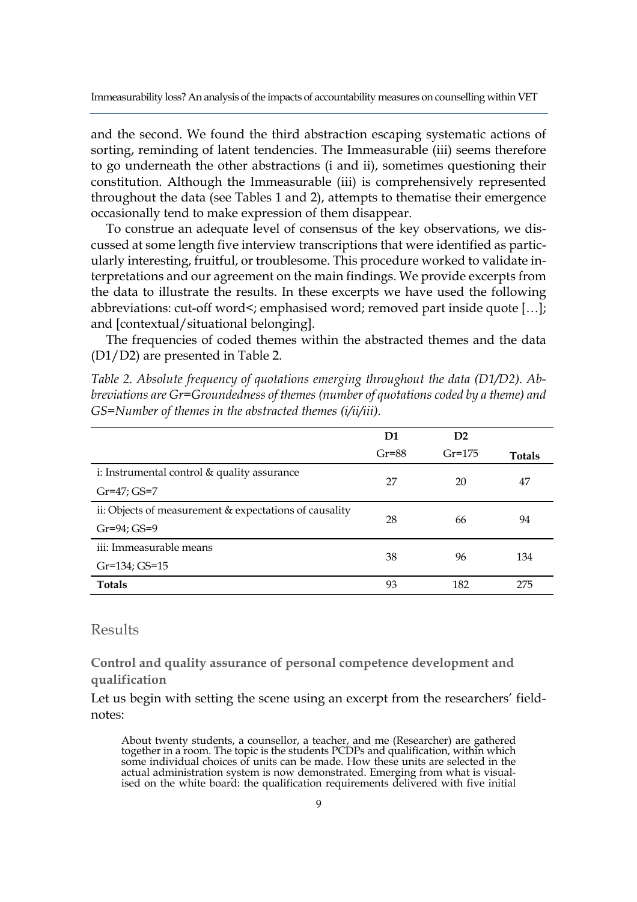and the second. We found the third abstraction escaping systematic actions of sorting, reminding of latent tendencies. The Immeasurable (iii) seems therefore to go underneath the other abstractions (i and ii), sometimes questioning their constitution. Although the Immeasurable (iii) is comprehensively represented throughout the data (see Tables 1 and 2), attempts to thematise their emergence occasionally tend to make expression of them disappear.

To construe an adequate level of consensus of the key observations, we discussed at some length five interview transcriptions that were identified as particularly interesting, fruitful, or troublesome. This procedure worked to validate interpretations and our agreement on the main findings. We provide excerpts from the data to illustrate the results. In these excerpts we have used the following abbreviations: cut-off word<; emphasised word; removed part inside quote […]; and [contextual/situational belonging].

The frequencies of coded themes within the abstracted themes and the data (D1/D2) are presented in Table 2.

*Table 2. Absolute frequency of quotations emerging throughout the data (D1/D2). Abbreviations are Gr=Groundedness of themes (number of quotations coded by a theme) and GS=Number of themes in the abstracted themes (i/ii/iii).*

|                                                        | D1      | D2       |               |
|--------------------------------------------------------|---------|----------|---------------|
|                                                        | $Gr=88$ | $Gr=175$ | <b>Totals</b> |
| i: Instrumental control & quality assurance            | 27      | 20       | 47            |
| $Gr=47; GS=7$                                          |         |          |               |
| ii: Objects of measurement & expectations of causality |         | 66       | 94            |
| Gr=94; GS=9                                            | 28      |          |               |
| iii: Immeasurable means                                | 38      | 96       | 134           |
| $Gr=134;$ $GS=15$                                      |         |          |               |
| <b>Totals</b>                                          | 93      | 182      | 275           |
|                                                        |         |          |               |

# Results

**Control and quality assurance of personal competence development and qualification**

Let us begin with setting the scene using an excerpt from the researchers' fieldnotes:

About twenty students, a counsellor, a teacher, and me (Researcher) are gathered together in a room. The topic is the students PCDPs and qualification, within which some individual choices of units can be made. How these units are selected in the actual administration system is now demonstrated. Emerging from what is visualised on the white board: the qualification requirements delivered with five initial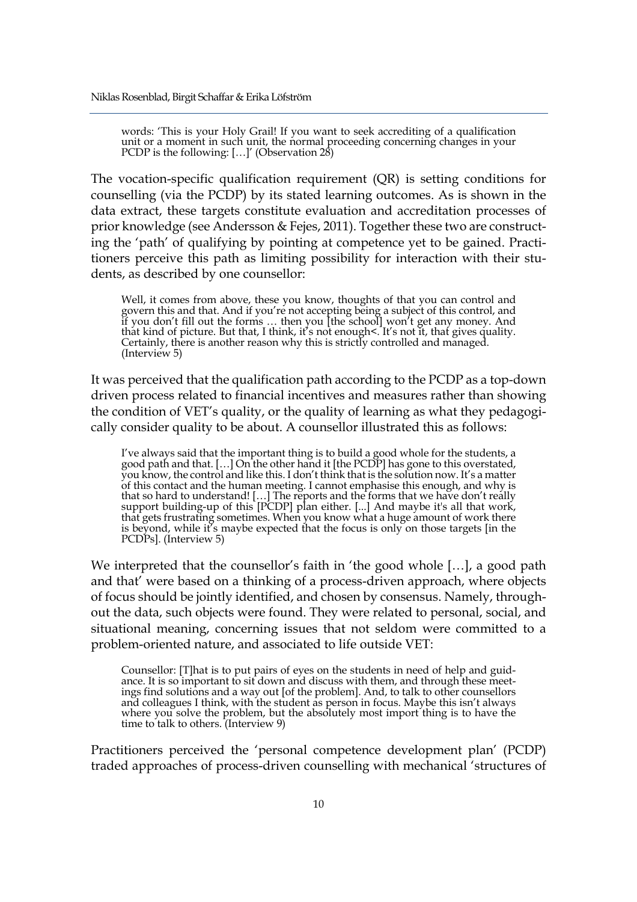words: 'This is your Holy Grail! If you want to seek accrediting of a qualification unit or a moment in such unit, the normal proceeding concerning changes in your PCDP is the following: [...]' (Observation 28)

The vocation-specific qualification requirement (QR) is setting conditions for counselling (via the PCDP) by its stated learning outcomes. As is shown in the data extract, these targets constitute evaluation and accreditation processes of prior knowledge (see Andersson & Fejes, 2011). Together these two are constructing the 'path' of qualifying by pointing at competence yet to be gained. Practitioners perceive this path as limiting possibility for interaction with their students, as described by one counsellor:

Well, it comes from above, these you know, thoughts of that you can control and govern this and that. And if you're not accepting being a subject of this control, and if you don't fill out the forms … then you [the school] won't get any money. And<br>that kind of picture. But that, I think, it's not enough<. It's not it, that gives quality. Certainly, there is another reason why this is strictly controlled and managed. (Interview 5)

It was perceived that the qualification path according to the PCDP as a top-down driven process related to financial incentives and measures rather than showing the condition of VET's quality, or the quality of learning as what they pedagogically consider quality to be about. A counsellor illustrated this as follows:

I've always said that the important thing is to build a good whole for the students, a<br>good path and that. […] On the other hand it [the PCDP] has gone to this overstated, you know, the control and like this. I don't think that is the solution now. It's a matter of this contact and the human meeting. I cannot emphasise this enough, and why is<br>that so hard to understand! […] The reports and the forms that we have don't really support building-up of this [PCDP] plan either. [...] And maybe it's all that work, that gets frustrating sometimes. When you know what a huge amount of work there<br>is beyond, while it's maybe expected that the focus is only on those targets [in the PCDPs]. (Interview 5)

We interpreted that the counsellor's faith in 'the good whole […], a good path and that' were based on a thinking of a process-driven approach, where objects of focus should be jointly identified, and chosen by consensus. Namely, throughout the data, such objects were found. They were related to personal, social, and situational meaning, concerning issues that not seldom were committed to a problem-oriented nature, and associated to life outside VET:

Counsellor: [T]hat is to put pairs of eyes on the students in need of help and guidance. It is so important to sit down and discuss with them, and through these meetings find solutions and a way out [of the problem]. And, to talk to other counsellors and colleagues I think, with the student as person in focus. Maybe this isn't always<br>where you solve the problem, but the absolutely most import thing is to have the<br>time to talk to others. (Interview 9)

Practitioners perceived the 'personal competence development plan' (PCDP) traded approaches of process-driven counselling with mechanical 'structures of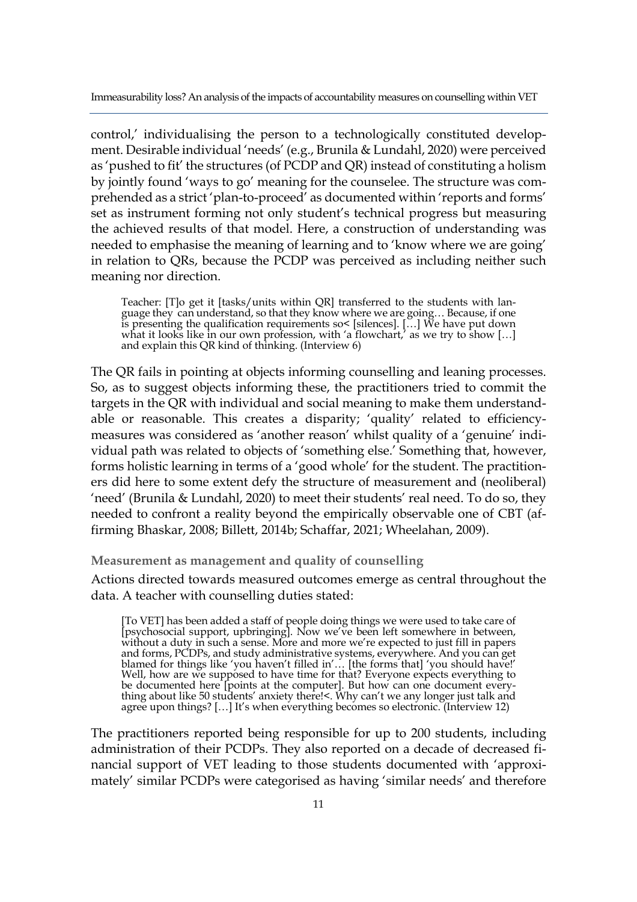control,' individualising the person to a technologically constituted development. Desirable individual 'needs' (e.g., Brunila & Lundahl, 2020) were perceived as 'pushed to fit' the structures (of PCDP and QR) instead of constituting a holism by jointly found 'ways to go' meaning for the counselee. The structure was comprehended as a strict 'plan-to-proceed' as documented within 'reports and forms' set as instrument forming not only student's technical progress but measuring the achieved results of that model. Here, a construction of understanding was needed to emphasise the meaning of learning and to 'know where we are going' in relation to QRs, because the PCDP was perceived as including neither such meaning nor direction.

Teacher: [T]o get it [tasks/units within QR] transferred to the students with language they can understand, so that they know where we are going… Because, if one is presenting the qualification requirements so< [silences]. […] We have put down what it looks like in our own profession, with 'a flowchart,' as we try to show […]<br>and explain this QR kind of thinking. (Interview 6)

The QR fails in pointing at objects informing counselling and leaning processes. So, as to suggest objects informing these, the practitioners tried to commit the targets in the QR with individual and social meaning to make them understandable or reasonable. This creates a disparity; 'quality' related to efficiencymeasures was considered as 'another reason' whilst quality of a 'genuine' individual path was related to objects of 'something else.' Something that, however, forms holistic learning in terms of a 'good whole' for the student. The practitioners did here to some extent defy the structure of measurement and (neoliberal) 'need' (Brunila & Lundahl, 2020) to meet their students' real need. To do so, they needed to confront a reality beyond the empirically observable one of CBT (affirming Bhaskar, 2008; Billett, 2014b; Schaffar, 2021; Wheelahan, 2009).

**Measurement as management and quality of counselling**

Actions directed towards measured outcomes emerge as central throughout the data. A teacher with counselling duties stated:

[To VET] has been added a staff of people doing things we were used to take care of [psychosocial support, upbringing]. Now we've been left somewhere in between, without a duty in such a sense. More and more we're expected to just fill in papers and forms, PCDPs, and study administrative systems, everywhere. And you can get blamed for things like 'you haven't filled in'… [the forms that] 'you should have!'<br>Well, how are we supposed to have time for that? Everyone expects everything to be documented here [points at the computer]. But how can one document every- thing about like 50 students' anxiety there!<. Why can't we any longer just talk and agree upon things? [...] It's when everything becomes so electronic. (Interview 12)

The practitioners reported being responsible for up to 200 students, including administration of their PCDPs. They also reported on a decade of decreased financial support of VET leading to those students documented with 'approximately' similar PCDPs were categorised as having 'similar needs' and therefore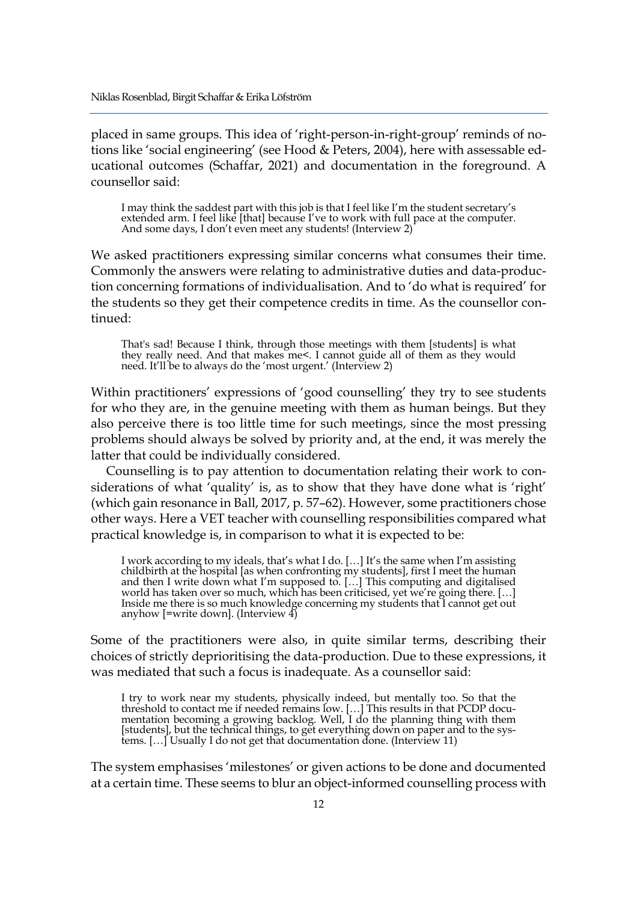placed in same groups. This idea of 'right-person-in-right-group' reminds of notions like 'social engineering' (see Hood & Peters, 2004), here with assessable educational outcomes (Schaffar, 2021) and documentation in the foreground. A counsellor said:

I may think the saddest part with this job is that I feel like I'm the student secretary's extended arm. I feel like [that] because I've to work with full pace at the computer. And some days, I don't even meet any students! (Interview 2)

We asked practitioners expressing similar concerns what consumes their time. Commonly the answers were relating to administrative duties and data-production concerning formations of individualisation. And to 'do what is required' for the students so they get their competence credits in time. As the counsellor continued:

That's sad! Because I think, through those meetings with them [students] is what they really need. And that makes me<. I cannot guide all of them as they would need. It'll be to always do the 'most urgent.' (Interview 2)

Within practitioners' expressions of 'good counselling' they try to see students for who they are, in the genuine meeting with them as human beings. But they also perceive there is too little time for such meetings, since the most pressing problems should always be solved by priority and, at the end, it was merely the latter that could be individually considered.

Counselling is to pay attention to documentation relating their work to considerations of what 'quality' is, as to show that they have done what is 'right' (which gain resonance in Ball, 2017, p. 57–62). However, some practitioners chose other ways. Here a VET teacher with counselling responsibilities compared what practical knowledge is, in comparison to what it is expected to be:

I work according to my ideals, that's what I do. […] It's the same when I'm assisting<br>childbirth at the hospital [as when confronting my students], first I meet the human and then I write down what I'm supposed to. […] This computing and digitalised world has taken over so much, which has been criticised, yet we're going there. […] Inside me there is so much knowledge concerning my students that I cannot get out anyhow [=write down]. (Interview 4)

Some of the practitioners were also, in quite similar terms, describing their choices of strictly deprioritising the data-production. Due to these expressions, it was mediated that such a focus is inadequate. As a counsellor said:

I try to work near my students, physically indeed, but mentally too. So that the threshold to contact me if needed remains low. […] This results in that PCDP documentation becoming a growing backlog. Well, I do the planning thing with them<br>[students], but the technical things, to get everything down on paper and to the systems. […] Usually I do not get that documentation done. (Interview 11)

The system emphasises 'milestones' or given actions to be done and documented at a certain time. These seems to blur an object-informed counselling process with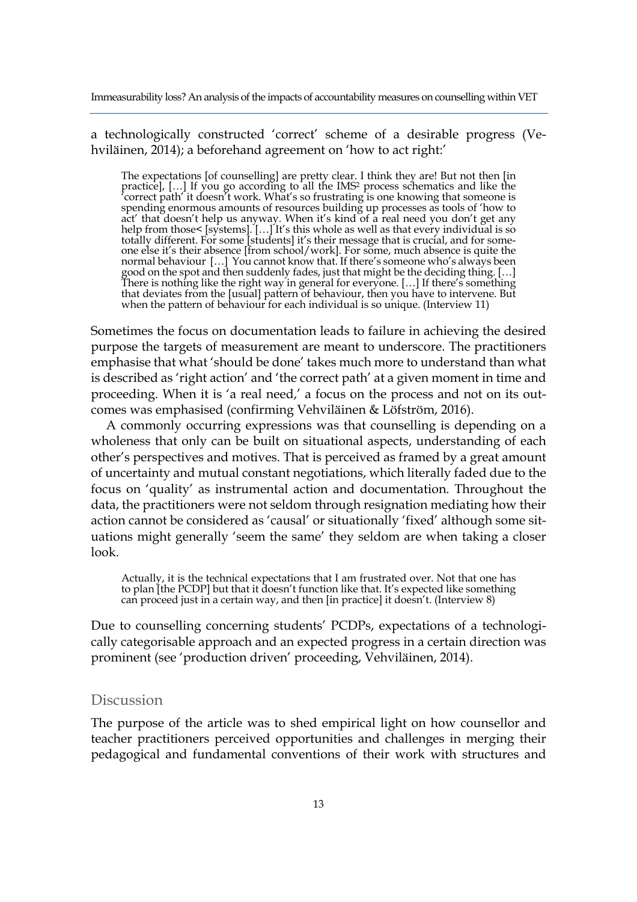a technologically constructed 'correct' scheme of a desirable progress (Vehviläinen, 2014); a beforehand agreement on 'how to act right:'

The expectations [of counselling] are pretty clear. I think they are! But not then [in<br>practice], […] If you go according to all the IMS<sup>2</sup> process schematics and like the 'correct path' it doesn't work. What's so frustrating is one knowing that someone is spending enormous amounts of resources building up processes as tools of 'how to<br>act' that doesn't help us anyway. When it's kind of a real need you don't get any<br>help from those< [systems]. [...] It's this whole as well a totally different. For some [students] it's their message that is crucial, and for some-<br>one else it's their absence [from school/work]. For some, much absence is quite the normal behaviour […] You cannot know that. If there's someone who's always been good on the spot and then suddenly fades, just that might be the deciding thing. [...]<br>There is nothing like the right way in general for everyone. [...] If there's something<br>that deviates from the [usual] pattern of behav when the pattern of behaviour for each individual is so unique. (Interview 11)

Sometimes the focus on documentation leads to failure in achieving the desired purpose the targets of measurement are meant to underscore. The practitioners emphasise that what 'should be done' takes much more to understand than what is described as 'right action' and 'the correct path' at a given moment in time and proceeding. When it is 'a real need,' a focus on the process and not on its outcomes was emphasised (confirming Vehviläinen & Löfström, 2016).

A commonly occurring expressions was that counselling is depending on a wholeness that only can be built on situational aspects, understanding of each other's perspectives and motives. That is perceived as framed by a great amount of uncertainty and mutual constant negotiations, which literally faded due to the focus on 'quality' as instrumental action and documentation. Throughout the data, the practitioners were not seldom through resignation mediating how their action cannot be considered as 'causal' or situationally 'fixed' although some situations might generally 'seem the same' they seldom are when taking a closer look.

Actually, it is the technical expectations that I am frustrated over. Not that one has to plan [the PCDP] but that it doesn't function like that. It's expected like something can proceed just in a certain way, and then [in practice] it doesn't. (Interview 8)

Due to counselling concerning students' PCDPs, expectations of a technologically categorisable approach and an expected progress in a certain direction was prominent (see 'production driven' proceeding, Vehviläinen, 2014).

### **Discussion**

The purpose of the article was to shed empirical light on how counsellor and teacher practitioners perceived opportunities and challenges in merging their pedagogical and fundamental conventions of their work with structures and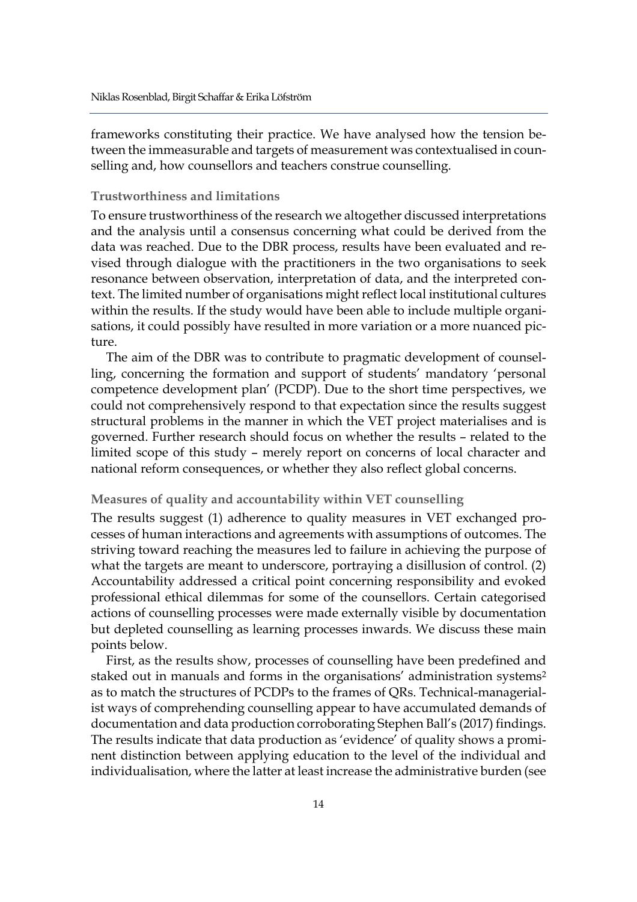frameworks constituting their practice. We have analysed how the tension between the immeasurable and targets of measurement was contextualised in counselling and, how counsellors and teachers construe counselling.

# **Trustworthiness and limitations**

To ensure trustworthiness of the research we altogether discussed interpretations and the analysis until a consensus concerning what could be derived from the data was reached. Due to the DBR process, results have been evaluated and revised through dialogue with the practitioners in the two organisations to seek resonance between observation, interpretation of data, and the interpreted context. The limited number of organisations might reflect local institutional cultures within the results. If the study would have been able to include multiple organisations, it could possibly have resulted in more variation or a more nuanced picture.

The aim of the DBR was to contribute to pragmatic development of counselling, concerning the formation and support of students' mandatory 'personal competence development plan' (PCDP). Due to the short time perspectives, we could not comprehensively respond to that expectation since the results suggest structural problems in the manner in which the VET project materialises and is governed. Further research should focus on whether the results – related to the limited scope of this study – merely report on concerns of local character and national reform consequences, or whether they also reflect global concerns.

# **Measures of quality and accountability within VET counselling**

The results suggest (1) adherence to quality measures in VET exchanged processes of human interactions and agreements with assumptions of outcomes. The striving toward reaching the measures led to failure in achieving the purpose of what the targets are meant to underscore, portraying a disillusion of control. (2) Accountability addressed a critical point concerning responsibility and evoked professional ethical dilemmas for some of the counsellors. Certain categorised actions of counselling processes were made externally visible by documentation but depleted counselling as learning processes inwards. We discuss these main points below.

First, as the results show, processes of counselling have been predefined and staked out in manuals and forms in the organisations' administration systems<sup>2</sup> as to match the structures of PCDPs to the frames of QRs. Technical-managerialist ways of comprehending counselling appear to have accumulated demands of documentation and data production corroborating Stephen Ball's (2017) findings. The results indicate that data production as 'evidence' of quality shows a prominent distinction between applying education to the level of the individual and individualisation, where the latter at least increase the administrative burden (see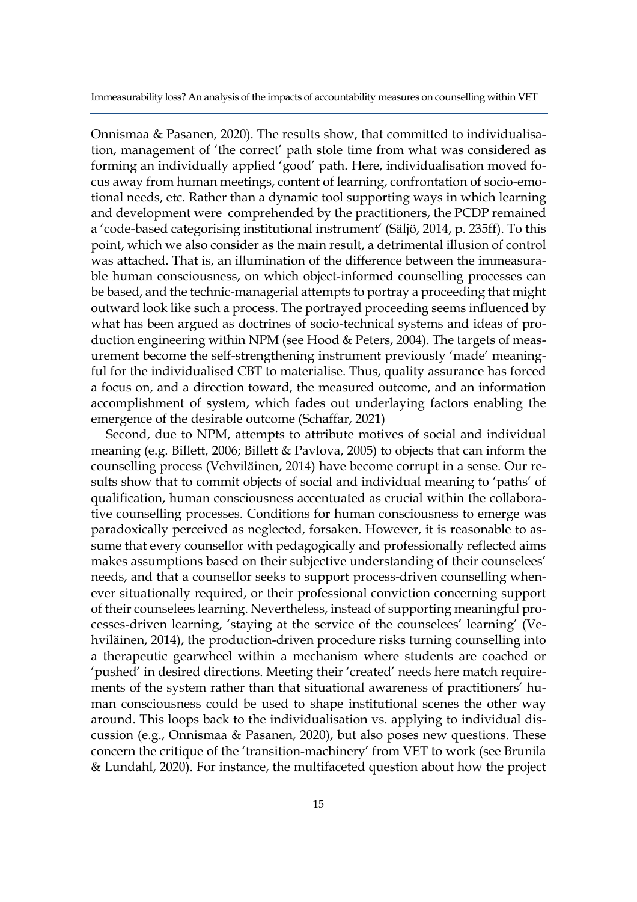Onnismaa & Pasanen, 2020). The results show, that committed to individualisation, management of 'the correct' path stole time from what was considered as forming an individually applied 'good' path. Here, individualisation moved focus away from human meetings, content of learning, confrontation of socio-emotional needs, etc. Rather than a dynamic tool supporting ways in which learning and development were comprehended by the practitioners, the PCDP remained a 'code-based categorising institutional instrument' (Säljö, 2014, p. 235ff). To this point, which we also consider as the main result, a detrimental illusion of control was attached. That is, an illumination of the difference between the immeasurable human consciousness, on which object-informed counselling processes can be based, and the technic-managerial attempts to portray a proceeding that might outward look like such a process. The portrayed proceeding seems influenced by what has been argued as doctrines of socio-technical systems and ideas of production engineering within NPM (see Hood & Peters, 2004). The targets of measurement become the self-strengthening instrument previously 'made' meaningful for the individualised CBT to materialise. Thus, quality assurance has forced a focus on, and a direction toward, the measured outcome, and an information accomplishment of system, which fades out underlaying factors enabling the emergence of the desirable outcome (Schaffar, 2021)

Second, due to NPM, attempts to attribute motives of social and individual meaning (e.g. Billett, 2006; Billett & Pavlova, 2005) to objects that can inform the counselling process (Vehviläinen, 2014) have become corrupt in a sense. Our results show that to commit objects of social and individual meaning to 'paths' of qualification, human consciousness accentuated as crucial within the collaborative counselling processes. Conditions for human consciousness to emerge was paradoxically perceived as neglected, forsaken. However, it is reasonable to assume that every counsellor with pedagogically and professionally reflected aims makes assumptions based on their subjective understanding of their counselees' needs, and that a counsellor seeks to support process-driven counselling whenever situationally required, or their professional conviction concerning support of their counselees learning. Nevertheless, instead of supporting meaningful processes-driven learning, 'staying at the service of the counselees' learning' (Vehviläinen, 2014), the production-driven procedure risks turning counselling into a therapeutic gearwheel within a mechanism where students are coached or 'pushed' in desired directions. Meeting their 'created' needs here match requirements of the system rather than that situational awareness of practitioners' human consciousness could be used to shape institutional scenes the other way around. This loops back to the individualisation vs. applying to individual discussion (e.g., Onnismaa & Pasanen, 2020), but also poses new questions. These concern the critique of the 'transition-machinery' from VET to work (see Brunila & Lundahl, 2020). For instance, the multifaceted question about how the project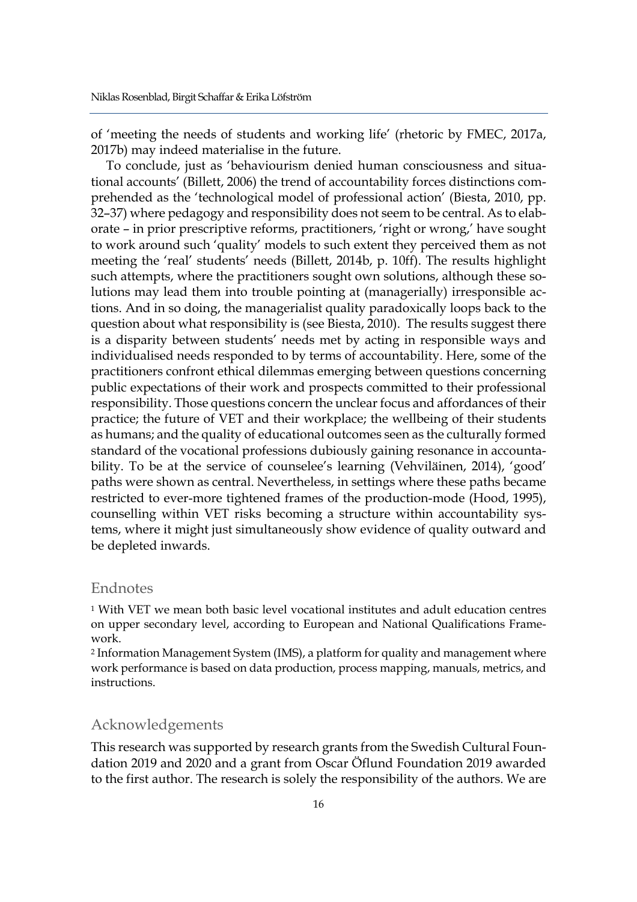of 'meeting the needs of students and working life' (rhetoric by FMEC, 2017a, 2017b) may indeed materialise in the future.

To conclude, just as 'behaviourism denied human consciousness and situational accounts' (Billett, 2006) the trend of accountability forces distinctions comprehended as the 'technological model of professional action' (Biesta, 2010, pp. 32–37) where pedagogy and responsibility does not seem to be central. As to elaborate – in prior prescriptive reforms, practitioners, 'right or wrong,' have sought to work around such 'quality' models to such extent they perceived them as not meeting the 'real' students' needs (Billett, 2014b, p. 10ff). The results highlight such attempts, where the practitioners sought own solutions, although these solutions may lead them into trouble pointing at (managerially) irresponsible actions. And in so doing, the managerialist quality paradoxically loops back to the question about what responsibility is (see Biesta, 2010). The results suggest there is a disparity between students' needs met by acting in responsible ways and individualised needs responded to by terms of accountability. Here, some of the practitioners confront ethical dilemmas emerging between questions concerning public expectations of their work and prospects committed to their professional responsibility. Those questions concern the unclear focus and affordances of their practice; the future of VET and their workplace; the wellbeing of their students as humans; and the quality of educational outcomes seen as the culturally formed standard of the vocational professions dubiously gaining resonance in accountability. To be at the service of counselee's learning (Vehviläinen, 2014), 'good' paths were shown as central. Nevertheless, in settings where these paths became restricted to ever-more tightened frames of the production-mode (Hood, 1995), counselling within VET risks becoming a structure within accountability systems, where it might just simultaneously show evidence of quality outward and be depleted inwards.

## Endnotes

<sup>1</sup> With VET we mean both basic level vocational institutes and adult education centres on upper secondary level, according to European and National Qualifications Framework.

<sup>2</sup> Information Management System (IMS), a platform for quality and management where work performance is based on data production, process mapping, manuals, metrics, and instructions.

# Acknowledgements

This research was supported by research grants from the Swedish Cultural Foundation 2019 and 2020 and a grant from Oscar Öflund Foundation 2019 awarded to the first author. The research is solely the responsibility of the authors. We are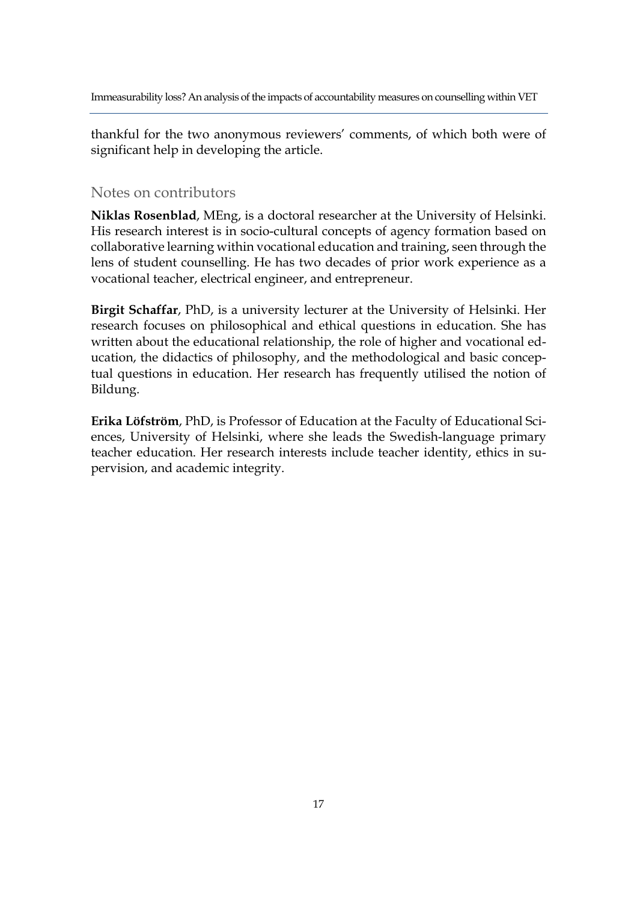thankful for the two anonymous reviewers' comments, of which both were of significant help in developing the article.

# Notes on contributors

**Niklas Rosenblad**, MEng, is a doctoral researcher at the University of Helsinki. His research interest is in socio-cultural concepts of agency formation based on collaborative learning within vocational education and training, seen through the lens of student counselling. He has two decades of prior work experience as a vocational teacher, electrical engineer, and entrepreneur.

**Birgit Schaffar**, PhD, is a university lecturer at the University of Helsinki. Her research focuses on philosophical and ethical questions in education. She has written about the educational relationship, the role of higher and vocational education, the didactics of philosophy, and the methodological and basic conceptual questions in education. Her research has frequently utilised the notion of Bildung.

**Erika Löfström**, PhD, is Professor of Education at the Faculty of Educational Sciences, University of Helsinki, where she leads the Swedish-language primary teacher education. Her research interests include teacher identity, ethics in supervision, and academic integrity.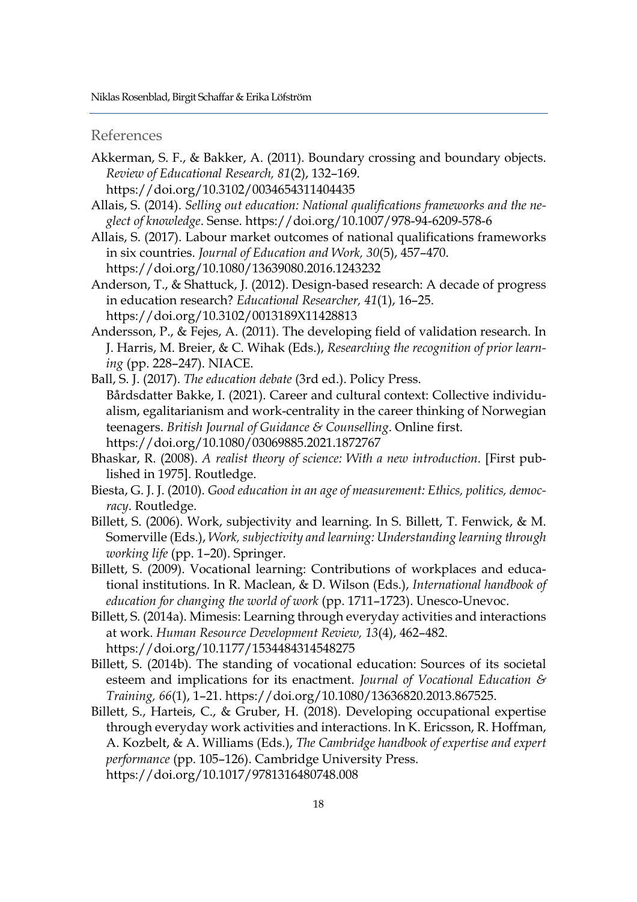# References

- Akkerman, S. F., & Bakker, A. (2011). Boundary crossing and boundary objects. *Review of Educational Research, 81*(2), 132–169.
	- https://doi.org/10.3102/0034654311404435
- Allais, S. (2014). *Selling out education: National qualifications frameworks and the neglect of knowledge*. Sense. https://doi.org/10.1007/978-94-6209-578-6
- Allais, S. (2017). Labour market outcomes of national qualifications frameworks in six countries. *Journal of Education and Work, 30*(5), 457–470. https://doi.org/10.1080/13639080.2016.1243232
- Anderson, T., & Shattuck, J. (2012). Design-based research: A decade of progress in education research? *Educational Researcher, 41*(1), 16–25. https://doi.org/10.3102/0013189X11428813
- Andersson, P., & Fejes, A. (2011). The developing field of validation research. In J. Harris, M. Breier, & C. Wihak (Eds.), *Researching the recognition of prior learning* (pp. 228–247). NIACE.
- Ball, S. J. (2017). *The education debate* (3rd ed.). Policy Press. Bårdsdatter Bakke, I. (2021). Career and cultural context: Collective individualism, egalitarianism and work-centrality in the career thinking of Norwegian teenagers. *British Journal of Guidance & Counselling*. Online first. https://doi.org/10.1080/03069885.2021.1872767
- Bhaskar, R. (2008). *A realist theory of science: With a new introduction*. [First published in 1975]. Routledge.
- Biesta, G. J. J. (2010). *Good education in an age of measurement: Ethics, politics, democracy*. Routledge.
- Billett, S. (2006). Work, subjectivity and learning. In S. Billett, T. Fenwick, & M. Somerville (Eds.), *Work, subjectivity and learning: Understanding learning through working life* (pp. 1–20). Springer.
- Billett, S. (2009). Vocational learning: Contributions of workplaces and educational institutions. In R. Maclean, & D. Wilson (Eds.), *International handbook of education for changing the world of work* (pp. 1711–1723). Unesco-Unevoc.
- Billett, S. (2014a). Mimesis: Learning through everyday activities and interactions at work. *Human Resource Development Review, 13*(4), 462–482. https://doi.org/10.1177/1534484314548275
- Billett, S. (2014b). The standing of vocational education: Sources of its societal esteem and implications for its enactment. *Journal of Vocational Education & Training, 66*(1), 1–21. https://doi.org/10.1080/13636820.2013.867525.
- Billett, S., Harteis, C., & Gruber, H. (2018). Developing occupational expertise through everyday work activities and interactions. In K. Ericsson, R. Hoffman, A. Kozbelt, & A. Williams (Eds.), *The Cambridge handbook of expertise and expert performance* (pp. 105–126). Cambridge University Press. https://doi.org/10.1017/9781316480748.008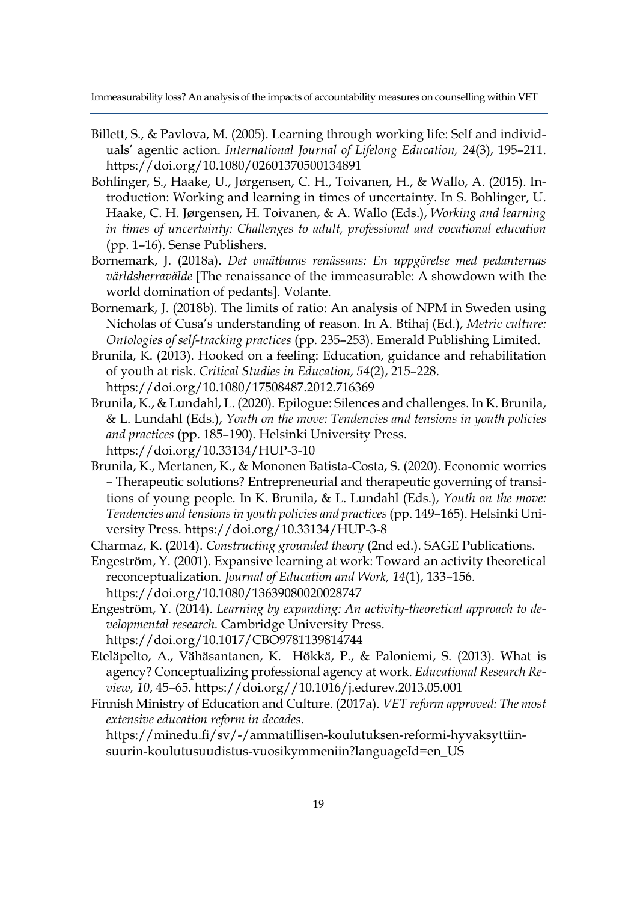- Billett, S., & Pavlova, M. (2005). Learning through working life: Self and individuals' agentic action. *International Journal of Lifelong Education, 24*(3), 195–211. https://doi.org/10.1080/02601370500134891
- Bohlinger, S., Haake, U., Jørgensen, C. H., Toivanen, H., & Wallo, A. (2015). Introduction: Working and learning in times of uncertainty. In S. Bohlinger, U. Haake, C. H. Jørgensen, H. Toivanen, & A. Wallo (Eds.), *Working and learning in times of uncertainty: Challenges to adult, professional and vocational education* (pp. 1–16). Sense Publishers.
- Bornemark, J. (2018a). *Det omätbaras renässans: En uppgörelse med pedanternas världsherravälde* [The renaissance of the immeasurable: A showdown with the world domination of pedants]. Volante.
- Bornemark, J. (2018b). The limits of ratio: An analysis of NPM in Sweden using Nicholas of Cusa's understanding of reason. In A. Btihaj (Ed.), *Metric culture: Ontologies of self-tracking practices* (pp. 235–253). Emerald Publishing Limited.
- Brunila, K. (2013). Hooked on a feeling: Education, guidance and rehabilitation of youth at risk. *Critical Studies in Education, 54*(2), 215–228. https://doi.org/10.1080/17508487.2012.716369
- Brunila, K., & Lundahl, L. (2020). Epilogue: Silences and challenges. In K. Brunila, & L. Lundahl (Eds.), *Youth on the move: Tendencies and tensions in youth policies and practices* (pp. 185–190). Helsinki University Press.

https://doi.org/10.33134/HUP-3-10

- Brunila, K., Mertanen, K., & Mononen Batista-Costa, S. (2020). Economic worries – Therapeutic solutions? Entrepreneurial and therapeutic governing of transitions of young people. In K. Brunila, & L. Lundahl (Eds.), *Youth on the move: Tendencies and tensions in youth policies and practices* (pp. 149–165). Helsinki University Press. https://doi.org/10.33134/HUP-3-8
- Charmaz, K. (2014). *Constructing grounded theory* (2nd ed.). SAGE Publications.
- Engeström, Y. (2001). Expansive learning at work: Toward an activity theoretical reconceptualization. *Journal of Education and Work, 14*(1), 133–156. https://doi.org/10.1080/13639080020028747
- Engeström, Y. (2014). *Learning by expanding: An activity-theoretical approach to developmental research*. Cambridge University Press. https://doi.org/10.1017/CBO9781139814744
- Eteläpelto, A., Vähäsantanen, K. Hökkä, P., & Paloniemi, S. (2013). What is agency? Conceptualizing professional agency at work. *Educational Research Review, 10*, 45–65. https://doi.org//10.1016/j.edurev.2013.05.001
- Finnish Ministry of Education and Culture. (2017a). *VET reform approved: The most extensive education reform in decades*.

https://minedu.fi/sv/-/ammatillisen-koulutuksen-reformi-hyvaksyttiinsuurin-koulutusuudistus-vuosikymmeniin?languageId=en\_US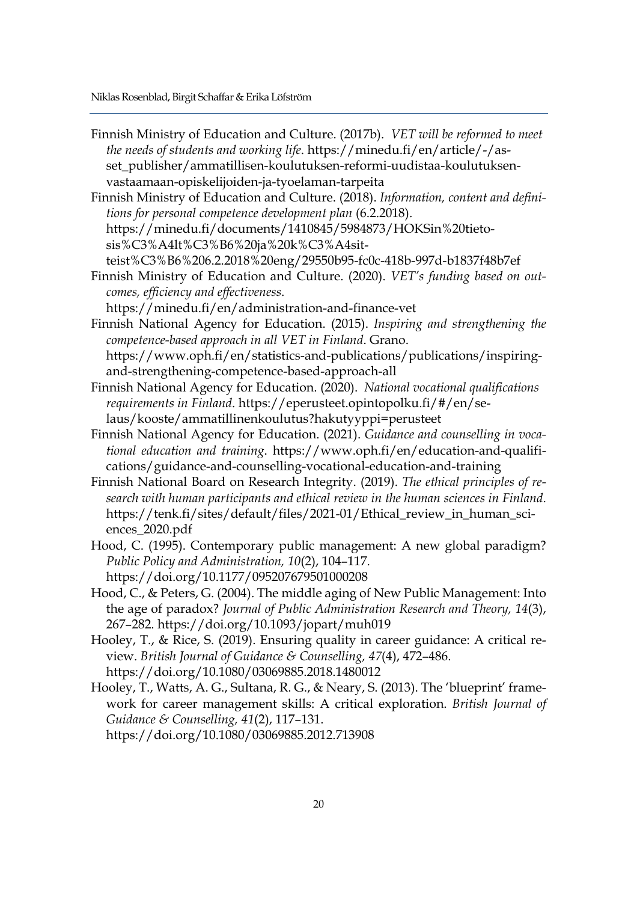Finnish Ministry of Education and Culture. (2017b). *VET will be reformed to meet the needs of students and working life*. https://minedu.fi/en/article/-/asset\_publisher/ammatillisen-koulutuksen-reformi-uudistaa-koulutuksenvastaamaan-opiskelijoiden-ja-tyoelaman-tarpeita

Finnish Ministry of Education and Culture. (2018). *Information, content and definitions for personal competence development plan* (6.2.2018). https://minedu.fi/documents/1410845/5984873/HOKSin%20tietosis%C3%A4lt%C3%B6%20ja%20k%C3%A4sitteist%C3%B6%206.2.2018%20eng/29550b95-fc0c-418b-997d-b1837f48b7ef

Finnish Ministry of Education and Culture. (2020). *VET's funding based on outcomes, efficiency and effectiveness*. https://minedu.fi/en/administration-and-finance-vet

Finnish National Agency for Education. (2015). *Inspiring and strengthening the competence-based approach in all VET in Finland*. Grano. https://www.oph.fi/en/statistics-and-publications/publications/inspiringand-strengthening-competence-based-approach-all

- Finnish National Agency for Education. (2020). *National vocational qualifications requirements in Finland*. https://eperusteet.opintopolku.fi/#/en/selaus/kooste/ammatillinenkoulutus?hakutyyppi=perusteet
- Finnish National Agency for Education. (2021). *Guidance and counselling in vocational education and training*. https://www.oph.fi/en/education-and-qualifications/guidance-and-counselling-vocational-education-and-training
- Finnish National Board on Research Integrity. (2019). *The ethical principles of research with human participants and ethical review in the human sciences in Finland*. https://tenk.fi/sites/default/files/2021-01/Ethical\_review\_in\_human\_sciences\_2020.pdf
- Hood, C. (1995). Contemporary public management: A new global paradigm? *Public Policy and Administration, 10*(2), 104–117. https://doi.org/10.1177/095207679501000208
- Hood, C., & Peters, G. (2004). The middle aging of New Public Management: Into the age of paradox? *Journal of Public Administration Research and Theory, 14*(3), 267–282. https://doi.org/10.1093/jopart/muh019
- Hooley, T., & Rice, S. (2019). Ensuring quality in career guidance: A critical review. *British Journal of Guidance & Counselling, 47*(4), 472–486. https://doi.org/10.1080/03069885.2018.1480012
- Hooley, T., Watts, A. G., Sultana, R. G., & Neary, S. (2013). The 'blueprint' framework for career management skills: A critical exploration. *British Journal of Guidance & Counselling, 41*(2), 117–131.

https://doi.org/10.1080/03069885.2012.713908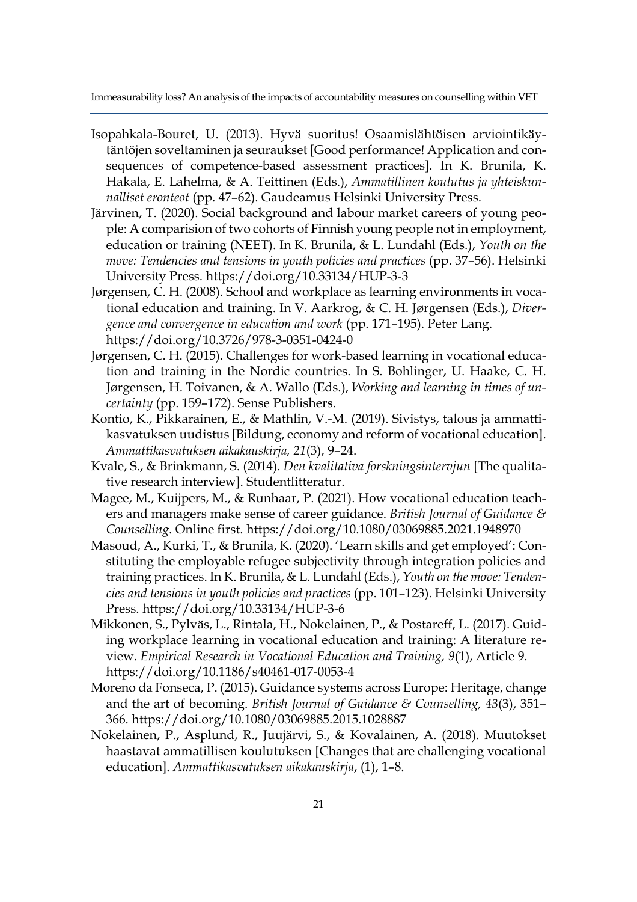- Isopahkala-Bouret, U. (2013). Hyvä suoritus! Osaamislähtöisen arviointikäytäntöjen soveltaminen ja seuraukset [Good performance! Application and consequences of competence-based assessment practices]. In K. Brunila, K. Hakala, E. Lahelma, & A. Teittinen (Eds.), *Ammatillinen koulutus ja yhteiskunnalliset eronteot* (pp. 47–62). Gaudeamus Helsinki University Press.
- Järvinen, T. (2020). Social background and labour market careers of young people: A comparision of two cohorts of Finnish young people not in employment, education or training (NEET). In K. Brunila, & L. Lundahl (Eds.), *Youth on the move: Tendencies and tensions in youth policies and practices* (pp. 37–56). Helsinki University Press. https://doi.org/10.33134/HUP-3-3
- Jørgensen, C. H. (2008). School and workplace as learning environments in vocational education and training. In V. Aarkrog, & C. H. Jørgensen (Eds.), *Divergence and convergence in education and work* (pp. 171–195). Peter Lang. https://doi.org/10.3726/978-3-0351-0424-0
- Jørgensen, C. H. (2015). Challenges for work-based learning in vocational education and training in the Nordic countries. In S. Bohlinger, U. Haake, C. H. Jørgensen, H. Toivanen, & A. Wallo (Eds.), *Working and learning in times of uncertainty* (pp. 159–172). Sense Publishers.
- Kontio, K., Pikkarainen, E., & Mathlin, V.-M. (2019). Sivistys, talous ja ammattikasvatuksen uudistus [Bildung, economy and reform of vocational education]. *Ammattikasvatuksen aikakauskirja, 21*(3), 9–24.
- Kvale, S., & Brinkmann, S. (2014). *Den kvalitativa forskningsintervjun* [The qualitative research interview]. Studentlitteratur.
- Magee, M., Kuijpers, M., & Runhaar, P. (2021). How vocational education teachers and managers make sense of career guidance. *British Journal of Guidance & Counselling*. Online first. https://doi.org/10.1080/03069885.2021.1948970
- Masoud, A., Kurki, T., & Brunila, K. (2020). 'Learn skills and get employed': Constituting the employable refugee subjectivity through integration policies and training practices. In K. Brunila, & L. Lundahl (Eds.), *Youth on the move: Tendencies and tensions in youth policies and practices* (pp. 101–123). Helsinki University Press. https://doi.org/10.33134/HUP-3-6
- Mikkonen, S., Pylväs, L., Rintala, H., Nokelainen, P., & Postareff, L. (2017). Guiding workplace learning in vocational education and training: A literature review. *Empirical Research in Vocational Education and Training, 9*(1), Article 9. https://doi.org/10.1186/s40461-017-0053-4
- Moreno da Fonseca, P. (2015). Guidance systems across Europe: Heritage, change and the art of becoming. *British Journal of Guidance & Counselling, 43*(3), 351– 366. https://doi.org/10.1080/03069885.2015.1028887
- Nokelainen, P., Asplund, R., Juujärvi, S., & Kovalainen, A. (2018). Muutokset haastavat ammatillisen koulutuksen [Changes that are challenging vocational education]. *Ammattikasvatuksen aikakauskirja*, (1), 1–8.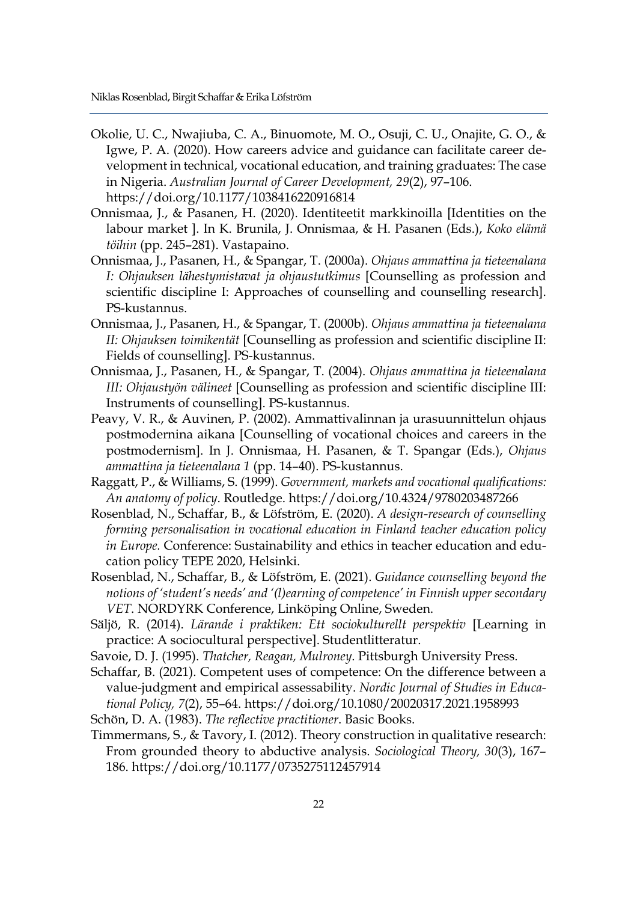- Okolie, U. C., Nwajiuba, C. A., Binuomote, M. O., Osuji, C. U., Onajite, G. O., & Igwe, P. A. (2020). How careers advice and guidance can facilitate career development in technical, vocational education, and training graduates: The case in Nigeria. *Australian Journal of Career Development, 29*(2), 97–106. https://doi.org/10.1177/1038416220916814
- Onnismaa, J., & Pasanen, H. (2020). Identiteetit markkinoilla [Identities on the labour market ]. In K. Brunila, J. Onnismaa, & H. Pasanen (Eds.), *Koko elämä töihin* (pp. 245–281). Vastapaino.
- Onnismaa, J., Pasanen, H., & Spangar, T. (2000a). *Ohjaus ammattina ja tieteenalana I: Ohjauksen lähestymistavat ja ohjaustutkimus* [Counselling as profession and scientific discipline I: Approaches of counselling and counselling research]. PS-kustannus.
- Onnismaa, J., Pasanen, H., & Spangar, T. (2000b). *Ohjaus ammattina ja tieteenalana II: Ohjauksen toimikentät* [Counselling as profession and scientific discipline II: Fields of counselling]. PS-kustannus.
- Onnismaa, J., Pasanen, H., & Spangar, T. (2004). *Ohjaus ammattina ja tieteenalana III: Ohjaustyön välineet* [Counselling as profession and scientific discipline III: Instruments of counselling]. PS-kustannus.
- Peavy, V. R., & Auvinen, P. (2002). Ammattivalinnan ja urasuunnittelun ohjaus postmodernina aikana [Counselling of vocational choices and careers in the postmodernism]. In J. Onnismaa, H. Pasanen, & T. Spangar (Eds.), *Ohjaus ammattina ja tieteenalana 1* (pp. 14–40). PS-kustannus.
- Raggatt, P., & Williams, S. (1999). *Government, markets and vocational qualifications: An anatomy of policy*. Routledge. https://doi.org/10.4324/9780203487266
- Rosenblad, N., Schaffar, B., & Löfström, E. (2020). *A design-research of counselling forming personalisation in vocational education in Finland teacher education policy in Europe.* Conference: Sustainability and ethics in teacher education and education policy TEPE 2020, Helsinki.
- Rosenblad, N., Schaffar, B., & Löfström, E. (2021). *Guidance counselling beyond the notions of 'student's needs' and '(l)earning of competence' in Finnish upper secondary VET*. NORDYRK Conference, Linköping Online, Sweden.
- Säljö, R. (2014). *Lärande i praktiken: Ett sociokulturellt perspektiv* [Learning in practice: A sociocultural perspective]. Studentlitteratur.
- Savoie, D. J. (1995). *Thatcher, Reagan, Mulroney*. Pittsburgh University Press.
- Schaffar, B. (2021). Competent uses of competence: On the difference between a value-judgment and empirical assessability. *Nordic Journal of Studies in Educational Policy, 7*(2), 55–64. https://doi.org/10.1080/20020317.2021.1958993
- Schön, D. A. (1983). *The reflective practitioner*. Basic Books.
- Timmermans, S., & Tavory, I. (2012). Theory construction in qualitative research: From grounded theory to abductive analysis. *Sociological Theory, 30*(3), 167– 186. https://doi.org/10.1177/0735275112457914